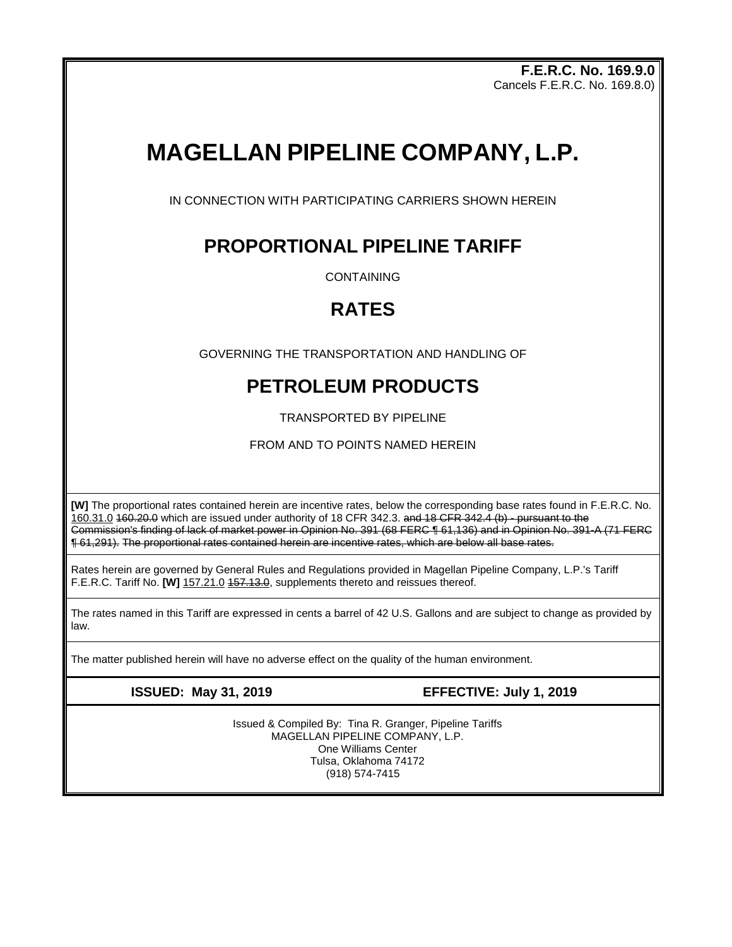**F.E.R.C. No. 169.9.0** Cancels F.E.R.C. No. 169.8.0)

# **MAGELLAN PIPELINE COMPANY, L.P.**

IN CONNECTION WITH PARTICIPATING CARRIERS SHOWN HEREIN

# **PROPORTIONAL PIPELINE TARIFF**

**CONTAINING** 

# **RATES**

GOVERNING THE TRANSPORTATION AND HANDLING OF

# **PETROLEUM PRODUCTS**

TRANSPORTED BY PIPELINE

FROM AND TO POINTS NAMED HEREIN

**[W]** The proportional rates contained herein are incentive rates, below the corresponding base rates found in F.E.R.C. No. 160.31.0 160.20.0 which are issued under authority of 18 CFR 342.3. and 18 CFR 342.4 (b) - pursuant to the Commission's finding of lack of market power in Opinion No. 391 (68 FERC ¶ 61,136) and in Opinion No. 391-A (71 FERC ¶ 61,291). The proportional rates contained herein are incentive rates, which are below all base rates.

Rates herein are governed by General Rules and Regulations provided in Magellan Pipeline Company, L.P.'s Tariff F.E.R.C. Tariff No. **[W]** 157.21.0 157.13.0, supplements thereto and reissues thereof.

The rates named in this Tariff are expressed in cents a barrel of 42 U.S. Gallons and are subject to change as provided by law.

The matter published herein will have no adverse effect on the quality of the human environment.

**ISSUED: May 31, 2019 EFFECTIVE: July 1, 2019**

Issued & Compiled By: Tina R. Granger, Pipeline Tariffs MAGELLAN PIPELINE COMPANY, L.P. One Williams Center Tulsa, Oklahoma 74172 (918) 574-7415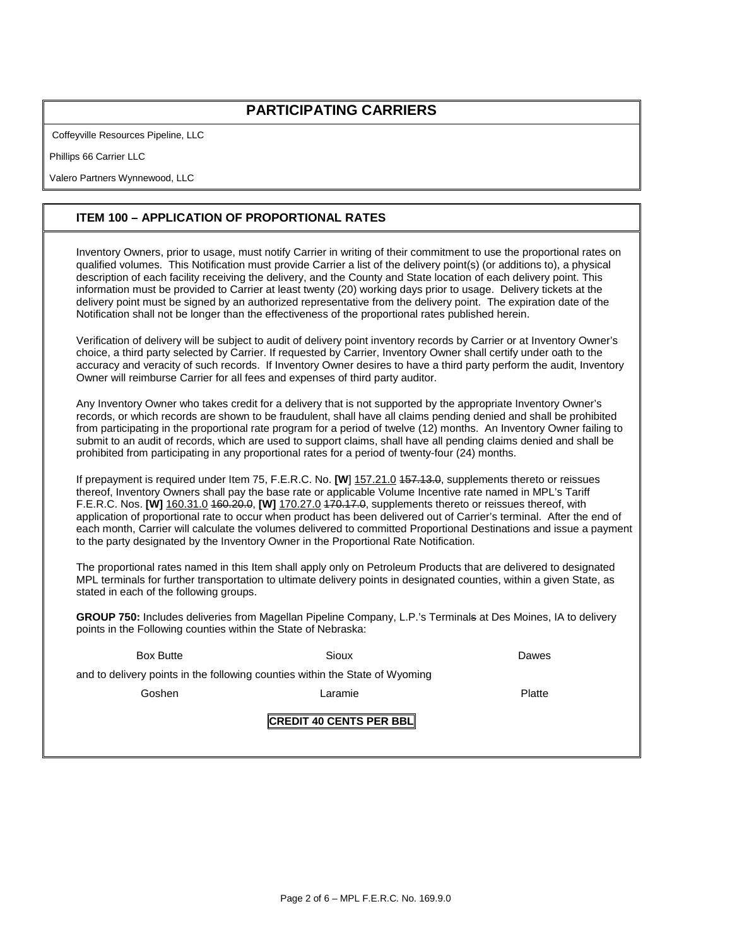## **PARTICIPATING CARRIERS**

Coffeyville Resources Pipeline, LLC

Phillips 66 Carrier LLC

Valero Partners Wynnewood, LLC

### **ITEM 100 – APPLICATION OF PROPORTIONAL RATES**

Inventory Owners, prior to usage, must notify Carrier in writing of their commitment to use the proportional rates on qualified volumes. This Notification must provide Carrier a list of the delivery point(s) (or additions to), a physical description of each facility receiving the delivery, and the County and State location of each delivery point. This information must be provided to Carrier at least twenty (20) working days prior to usage. Delivery tickets at the delivery point must be signed by an authorized representative from the delivery point. The expiration date of the Notification shall not be longer than the effectiveness of the proportional rates published herein.

Verification of delivery will be subject to audit of delivery point inventory records by Carrier or at Inventory Owner's choice, a third party selected by Carrier. If requested by Carrier, Inventory Owner shall certify under oath to the accuracy and veracity of such records. If Inventory Owner desires to have a third party perform the audit, Inventory Owner will reimburse Carrier for all fees and expenses of third party auditor.

Any Inventory Owner who takes credit for a delivery that is not supported by the appropriate Inventory Owner's records, or which records are shown to be fraudulent, shall have all claims pending denied and shall be prohibited from participating in the proportional rate program for a period of twelve (12) months. An Inventory Owner failing to submit to an audit of records, which are used to support claims, shall have all pending claims denied and shall be prohibited from participating in any proportional rates for a period of twenty-four (24) months.

If prepayment is required under Item 75, F.E.R.C. No. **[W**] 157.21.0 157.13.0, supplements thereto or reissues thereof, Inventory Owners shall pay the base rate or applicable Volume Incentive rate named in MPL's Tariff F.E.R.C. Nos. **[W]** 160.31.0 160.20.0, **[W]** 170.27.0 170.17.0, supplements thereto or reissues thereof, with application of proportional rate to occur when product has been delivered out of Carrier's terminal. After the end of each month, Carrier will calculate the volumes delivered to committed Proportional Destinations and issue a payment to the party designated by the Inventory Owner in the Proportional Rate Notification.

The proportional rates named in this Item shall apply only on Petroleum Products that are delivered to designated MPL terminals for further transportation to ultimate delivery points in designated counties, within a given State, as stated in each of the following groups.

**GROUP 750:** Includes deliveries from Magellan Pipeline Company, L.P.'s Terminals at Des Moines, IA to delivery points in the Following counties within the State of Nebraska:

| <b>Box Butte</b>                                                             | Sioux                          | Dawes  |  |  |  |  |  |
|------------------------------------------------------------------------------|--------------------------------|--------|--|--|--|--|--|
| and to delivery points in the following counties within the State of Wyoming |                                |        |  |  |  |  |  |
| Goshen                                                                       | Laramie                        | Platte |  |  |  |  |  |
|                                                                              | <b>CREDIT 40 CENTS PER BBL</b> |        |  |  |  |  |  |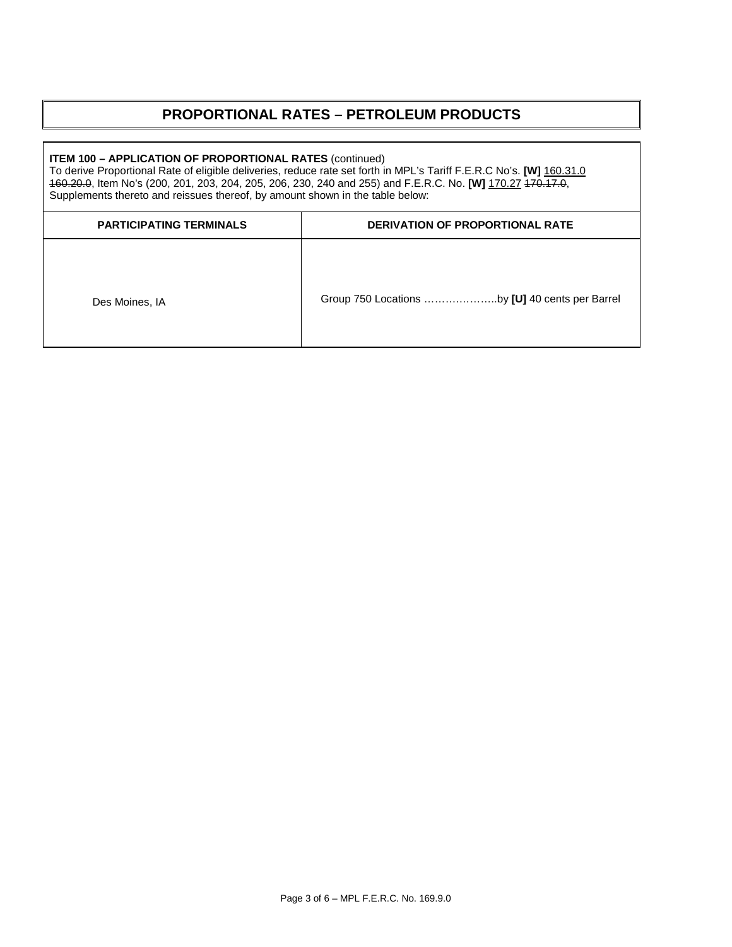## **PROPORTIONAL RATES – PETROLEUM PRODUCTS**

# **ITEM 100 – APPLICATION OF PROPORTIONAL RATES** (continued) To derive Proportional Rate of eligible deliveries, reduce rate set forth in MPL's Tariff F.E.R.C No's. **[W]** 160.31.0 160.20.0, Item No's (200, 201, 203, 204, 205, 206, 230, 240 and 255) and F.E.R.C. No. **[W]** 170.27 170.17.0, Supplements thereto and reissues thereof, by amount shown in the table below: **PARTICIPATING TERMINALS DERIVATION OF PROPORTIONAL RATE** Des Moines, IA Group 750 Locations ........................by **[U]** 40 cents per Barrel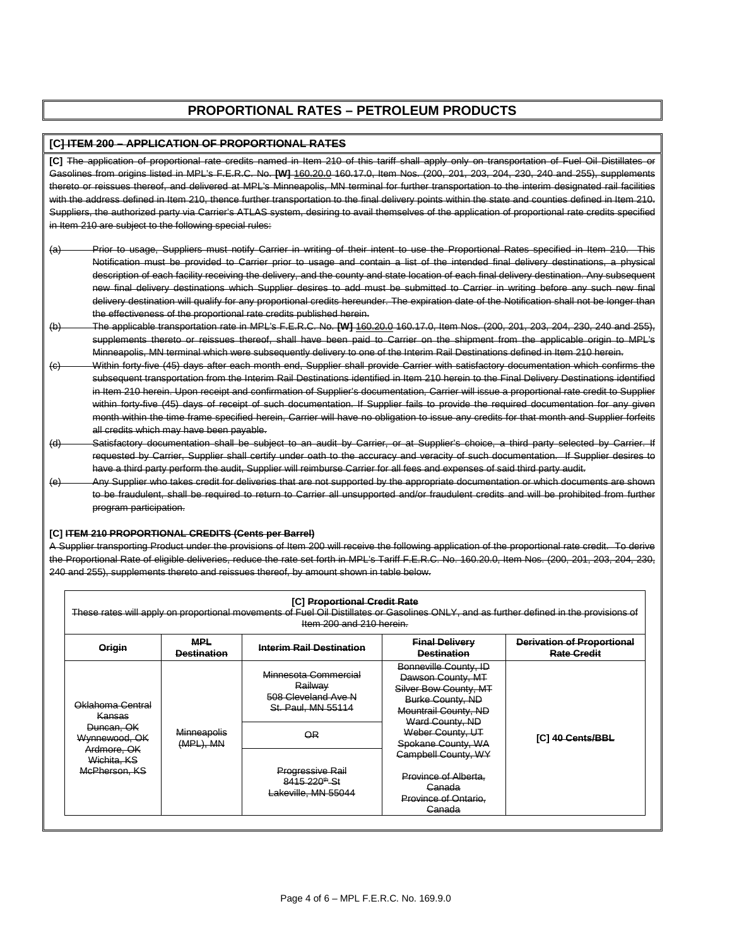### **PROPORTIONAL RATES – PETROLEUM PRODUCTS**

#### **[C] ITEM 200 – APPLICATION OF PROPORTIONAL RATES**

**[C]** The application of proportional rate credits named in Item 210 of this tariff shall apply only on transportation of Fuel Oil Distillates or Gasolines from origins listed in MPL's F.E.R.C. No. **[W]** 160.20.0 160.17.0, Item Nos. (200, 201, 203, 204, 230, 240 and 255), supplements thereto or reissues thereof, and delivered at MPL's Minneapolis, MN terminal for further transportation to the interim designated rail facilities with the address defined in Item 210, thence further transportation to the final delivery points within the state and counties defined in Item 210. Suppliers, the authorized party via Carrier's ATLAS system, desiring to avail themselves of the application of proportional rate credits specified in Item 210 are subject to the following special rules:

- (a) Prior to usage, Suppliers must notify Carrier in writing of their intent to use the Proportional Rates specified in Item 210. This Notification must be provided to Carrier prior to usage and contain a list of the intended final delivery destinations, a physical description of each facility receiving the delivery, and the county and state location of each final delivery destination. Any subsequent new final delivery destinations which Supplier desires to add must be submitted to Carrier in writing before any such new final delivery destination will qualify for any proportional credits hereunder. The expiration date of the Notification shall not be longer than the effectiveness of the proportional rate credits published herein.
- (b) The applicable transportation rate in MPL's F.E.R.C. No. **[W]** 160.20.0 160.17.0, Item Nos. (200, 201, 203, 204, 230, 240 and 255), supplements thereto or reissues thereof, shall have been paid to Carrier on the shipment from the applicable origin to MPL's Minneapolis, MN terminal which were subsequently delivery to one of the Interim Rail Destinations defined in Item 210 herein.
- (c) Within forty-five (45) days after each month end, Supplier shall provide Carrier with satisfactory documentation which confirms the subsequent transportation from the Interim Rail Destinations identified in Item 210 herein to the Final Delivery Destinations identified in Item 210 herein. Upon receipt and confirmation of Supplier's documentation, Carrier will issue a proportional rate credit to Supplier within forty-five (45) days of receipt of such documentation. If Supplier fails to provide the required documentation for any given month within the time frame specified herein, Carrier will have no obligation to issue any credits for that month and Supplier forfeits all credits which may have been payable.
- (d) Satisfactory documentation shall be subject to an audit by Carrier, or at Supplier's choice, a third party selected by Carrier. If requested by Carrier, Supplier shall certify under oath to the accuracy and veracity of such documentation. If Supplier desires to have a third party perform the audit, Supplier will reimburse Carrier for all fees and expenses of said third party audit.
- (e) Any Supplier who takes credit for deliveries that are not supported by the appropriate documentation or which documents to be fraudulent, shall be required to return to Carrier all unsupported and/or fraudulent credits and will be prohibited from further program participation.

#### **[C] ITEM 210 PROPORTIONAL CREDITS (Cents per Barrel)**

A Supplier transporting Product under the provisions of Item 200 will receive the following application of the proportional rate credit. To derive the Proportional Rate of eligible deliveries, reduce the rate set forth in MPL's Tariff F.E.R.C. No. 160.20.0, Item Nos. (200, 201, 203, 204, 230, 240 and 255), supplements thereto and reissues thereof, by amount shown in table below.

|                                                                                                          |                                  | [C] Proportional Credit Rate<br>These rates will apply on proportional movements of Fuel Oil Distillates or Gasolines ONLY, and as further defined in the provisions of<br>Item 200 and 210 herein. |                                                                                                                                                                                                                                                                                       |                                                         |
|----------------------------------------------------------------------------------------------------------|----------------------------------|-----------------------------------------------------------------------------------------------------------------------------------------------------------------------------------------------------|---------------------------------------------------------------------------------------------------------------------------------------------------------------------------------------------------------------------------------------------------------------------------------------|---------------------------------------------------------|
| Origin                                                                                                   | <b>MPL</b><br><b>Destination</b> | <b>Interim Rail Destination</b>                                                                                                                                                                     | <b>Final Delivery</b><br><b>Destination</b>                                                                                                                                                                                                                                           | <b>Derivation of Proportional</b><br><b>Rate Credit</b> |
| Oklahoma Central<br>Kansas<br>Duncan, OK<br>Wynnewood, OK<br>Ardmore, OK<br>Wichita, KS<br>McPherson, KS | <b>Minneapolis</b>               | Minnesota Commercial<br>Railway<br>508 Cleveland Ave N<br>St. Paul. MN 55114<br>$\overline{QR}$                                                                                                     | Bonneville County, ID<br>Dawson County, MT<br>Silver Bow County, MT<br>Burke County, ND<br>Mountrail County, ND<br>Ward County, ND<br>Weber County, UT<br>Spokane County, WA<br><b>Campbell County, WY</b><br>Province of Alberta.<br>Canada<br><b>Province of Ontario.</b><br>Canada | [C] 40 Cents/BBL                                        |
|                                                                                                          | $(MPL)$ , MN                     | <b>Progressive Rail</b><br>8415 220 <sup>th</sup> St<br>Lakeville, MN 55044                                                                                                                         |                                                                                                                                                                                                                                                                                       |                                                         |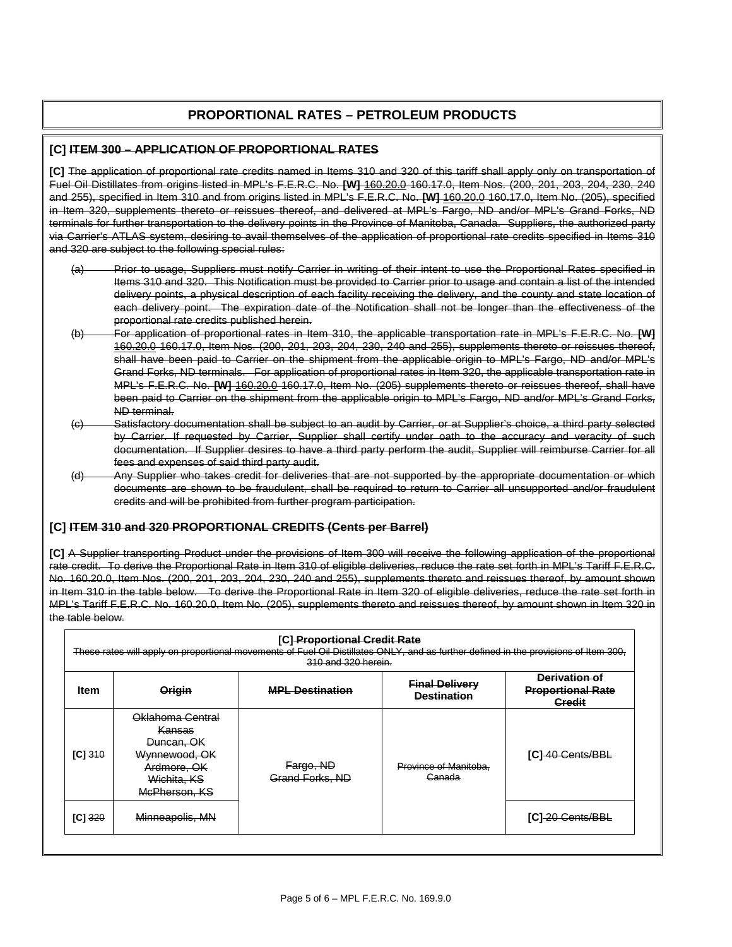## **PROPORTIONAL RATES – PETROLEUM PRODUCTS**

#### **[C] ITEM 300 – APPLICATION OF PROPORTIONAL RATES**

**[C]** The application of proportional rate credits named in Items 310 and 320 of this tariff shall apply only on transportation of Fuel Oil Distillates from origins listed in MPL's F.E.R.C. No. **[W]** 160.20.0 160.17.0, Item Nos. (200, 201, 203, 204, 230, 240 and 255), specified in Item 310 and from origins listed in MPL's F.E.R.C. No. **[W]** 160.20.0 160.17.0, Item No. (205), specified in Item 320, supplements thereto or reissues thereof, and delivered at MPL's Fargo, ND and/or MPL's Grand Forks, ND terminals for further transportation to the delivery points in the Province of Manitoba, Canada. Suppliers, the authorized party via Carrier's ATLAS system, desiring to avail themselves of the application of proportional rate credits specified in Items 310 and 320 are subject to the following special rules:

- (a) Prior to usage, Suppliers must notify Carrier in writing of their intent to use the Proportional Rates specified in Items 310 and 320. This Notification must be provided to Carrier prior to usage and contain a list of the intended delivery points, a physical description of each facility receiving the delivery, and the county and state location of each delivery point. The expiration date of the Notification shall not be longer than the effectiveness of the proportional rate credits published herein.
- (b) For application of proportional rates in Item 310, the applicable transportation rate in MPL's F.E.R.C. No. **[W]** 160.20.0 160.17.0, Item Nos. (200, 201, 203, 204, 230, 240 and 255), supplements thereto or reissues thereof, shall have been paid to Carrier on the shipment from the applicable origin to MPL's Fargo, ND and/or MPL's Grand Forks, ND terminals. For application of proportional rates in Item 320, the applicable transportation rate in MPL's F.E.R.C. No. **[W]** 160.20.0 160.17.0, Item No. (205) supplements thereto or reissues thereof, shall have been paid to Carrier on the shipment from the applicable origin to MPL's Fargo, ND and/or MPL's Grand Forks, ND terminal.
- (c) Satisfactory documentation shall be subject to an audit by Carrier, or at Supplier's choice, a third party selected by Carrier. If requested by Carrier, Supplier shall certify under oath to the accuracy and veracity of such documentation. If Supplier desires to have a third party perform the audit, Supplier will reimburse Carrier for all fees and expenses of said third party audit.
- (d) Any Supplier who takes credit for deliveries that are not supported by the appropriate documentation or which documents are shown to be fraudulent, shall be required to return to Carrier all unsupported and/or fraudulent credits and will be prohibited from further program participation.

#### **[C] ITEM 310 and 320 PROPORTIONAL CREDITS (Cents per Barrel)**

**[C]** A Supplier transporting Product under the provisions of Item 300 will receive the following application of the proportional rate credit. To derive the Proportional Rate in Item 310 of eligible deliveries, reduce the rate set forth in MPL's Tariff F.E.R.C. No. 160.20.0, Item Nos. (200, 201, 203, 204, 230, 240 and 255), supplements thereto and reissues thereof, by amount shown in Item 310 in the table below. To derive the Proportional Rate in Item 320 of eligible deliveries, reduce the rate set forth in MPL's Tariff F.E.R.C. No. 160.20.0, Item No. (205), supplements thereto and reissues thereof, by amount shown in Item 320 in the table below.

|             |                                                                                                          | [C] Proportional Credit Rate<br>These rates will apply on proportional movements of Fuel Oil Distillates ONLY, and as further defined in the provisions of Item 300,<br>310 and 320 herein. |                                             |                                                            |
|-------------|----------------------------------------------------------------------------------------------------------|---------------------------------------------------------------------------------------------------------------------------------------------------------------------------------------------|---------------------------------------------|------------------------------------------------------------|
| <b>Item</b> | <b>Origin</b>                                                                                            | <b>MPL Destination</b>                                                                                                                                                                      | <b>Final Delivery</b><br><b>Destination</b> | Derivation of<br><b>Proportional Rate</b><br><b>Credit</b> |
| IC1310      | Oklahoma Central<br>Kansas<br>Duncan, OK<br>Wynnewood, OK<br>Ardmore, OK<br>Wichita, KS<br>McPherson, KS | Fargo, ND<br>Grand Forks, ND                                                                                                                                                                | Province of Manitoba.<br>Ganada             | [C]-40 Gents/BBL                                           |
| $[C]$ 320   | Minneapolis, MN                                                                                          |                                                                                                                                                                                             |                                             | [C]-20 Cents/BBL                                           |